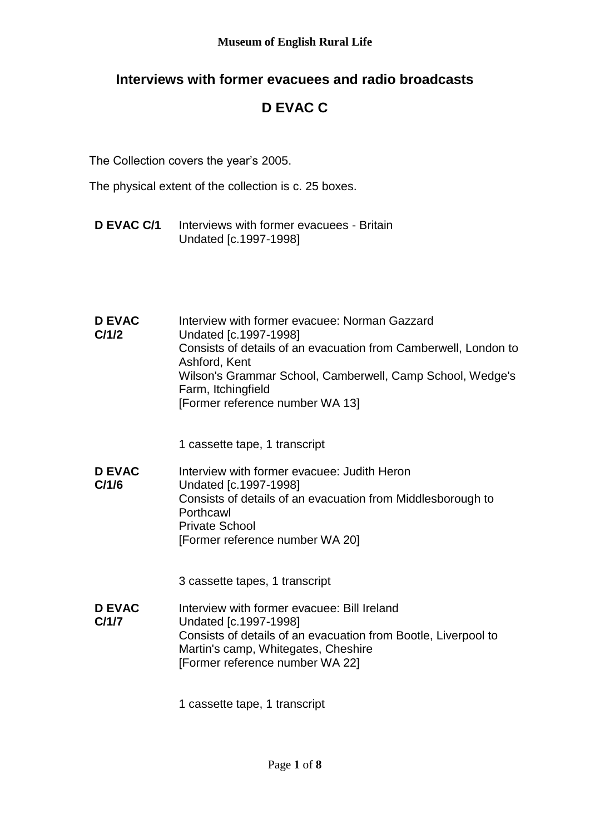## **Interviews with former evacuees and radio broadcasts**

# **D EVAC C**

The Collection covers the year's 2005.

The physical extent of the collection is c. 25 boxes.

**D EVAC C/1** Interviews with former evacuees - Britain Undated [c.1997-1998]

| <b>D EVAC</b><br>C/1/2 | Interview with former evacuee: Norman Gazzard<br>Undated [c.1997-1998]<br>Consists of details of an evacuation from Camberwell, London to<br>Ashford, Kent<br>Wilson's Grammar School, Camberwell, Camp School, Wedge's<br>Farm, Itchingfield<br>[Former reference number WA 13] |
|------------------------|----------------------------------------------------------------------------------------------------------------------------------------------------------------------------------------------------------------------------------------------------------------------------------|
|                        | 1 cassette tape, 1 transcript                                                                                                                                                                                                                                                    |
| <b>D EVAC</b><br>C/1/6 | Interview with former evacuee: Judith Heron<br>Undated [c.1997-1998]<br>Consists of details of an evacuation from Middlesborough to<br>Porthcawl<br><b>Private School</b><br>[Former reference number WA 20]                                                                     |
|                        | 3 cassette tapes, 1 transcript                                                                                                                                                                                                                                                   |
| <b>D EVAC</b><br>C/1/7 | Interview with former evacuee: Bill Ireland<br>Undated [c.1997-1998]<br>Consists of details of an evacuation from Bootle, Liverpool to<br>Martin's camp, Whitegates, Cheshire<br>[Former reference number WA 22]                                                                 |
|                        | 1 cassette tape, 1 transcript                                                                                                                                                                                                                                                    |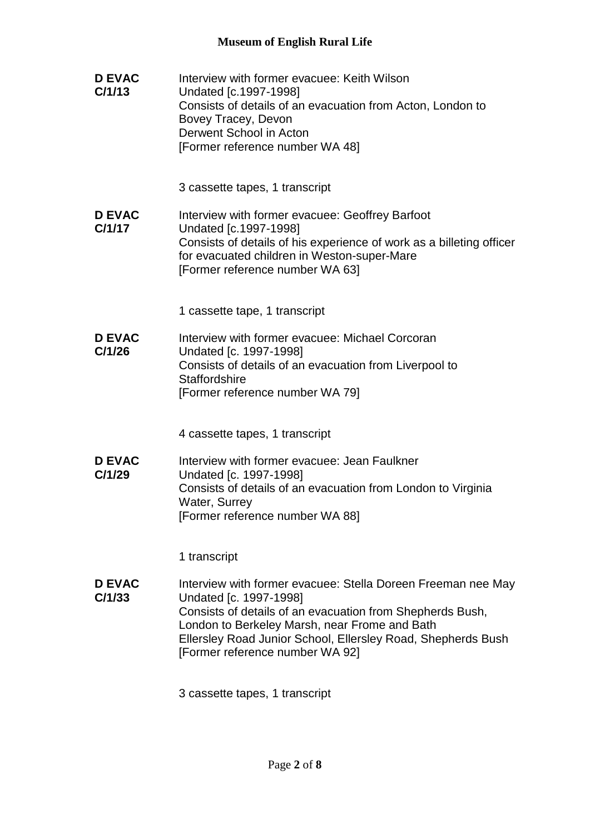| <b>D EVAC</b><br>C/1/13 | Interview with former evacuee: Keith Wilson<br>Undated [c.1997-1998]<br>Consists of details of an evacuation from Acton, London to<br>Bovey Tracey, Devon<br>Derwent School in Acton<br>[Former reference number WA 48]                                                                                 |
|-------------------------|---------------------------------------------------------------------------------------------------------------------------------------------------------------------------------------------------------------------------------------------------------------------------------------------------------|
|                         | 3 cassette tapes, 1 transcript                                                                                                                                                                                                                                                                          |
| <b>D EVAC</b><br>C/1/17 | Interview with former evacuee: Geoffrey Barfoot<br>Undated [c.1997-1998]<br>Consists of details of his experience of work as a billeting officer<br>for evacuated children in Weston-super-Mare<br>[Former reference number WA 63]                                                                      |
|                         | 1 cassette tape, 1 transcript                                                                                                                                                                                                                                                                           |
| <b>D EVAC</b><br>C/1/26 | Interview with former evacuee: Michael Corcoran<br>Undated [c. 1997-1998]<br>Consists of details of an evacuation from Liverpool to<br><b>Staffordshire</b><br>[Former reference number WA 79]                                                                                                          |
|                         | 4 cassette tapes, 1 transcript                                                                                                                                                                                                                                                                          |
| <b>D EVAC</b><br>C/1/29 | Interview with former evacuee: Jean Faulkner<br>Undated [c. 1997-1998]<br>Consists of details of an evacuation from London to Virginia<br>Water, Surrey<br>[Former reference number WA 88]                                                                                                              |
|                         | 1 transcript                                                                                                                                                                                                                                                                                            |
| <b>D EVAC</b><br>C/1/33 | Interview with former evacuee: Stella Doreen Freeman nee May<br>Undated [c. 1997-1998]<br>Consists of details of an evacuation from Shepherds Bush,<br>London to Berkeley Marsh, near Frome and Bath<br>Ellersley Road Junior School, Ellersley Road, Shepherds Bush<br>[Former reference number WA 92] |

3 cassette tapes, 1 transcript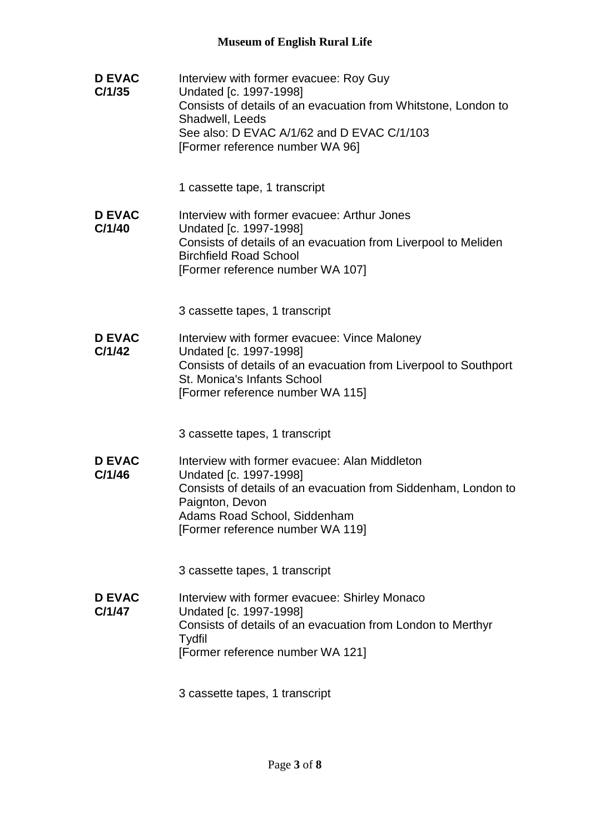| <b>D EVAC</b><br>C/1/35 | Interview with former evacuee: Roy Guy<br>Undated [c. 1997-1998]<br>Consists of details of an evacuation from Whitstone, London to<br>Shadwell, Leeds<br>See also: D EVAC A/1/62 and D EVAC C/1/103<br>[Former reference number WA 96] |
|-------------------------|----------------------------------------------------------------------------------------------------------------------------------------------------------------------------------------------------------------------------------------|
|                         | 1 cassette tape, 1 transcript                                                                                                                                                                                                          |
| <b>D EVAC</b><br>C/1/40 | Interview with former evacuee: Arthur Jones<br>Undated [c. 1997-1998]<br>Consists of details of an evacuation from Liverpool to Meliden<br><b>Birchfield Road School</b><br>[Former reference number WA 107]                           |
|                         | 3 cassette tapes, 1 transcript                                                                                                                                                                                                         |
| <b>D EVAC</b><br>C/1/42 | Interview with former evacuee: Vince Maloney<br>Undated [c. 1997-1998]<br>Consists of details of an evacuation from Liverpool to Southport<br>St. Monica's Infants School<br>[Former reference number WA 115]                          |
|                         | 3 cassette tapes, 1 transcript                                                                                                                                                                                                         |
| <b>D EVAC</b><br>C/1/46 | Interview with former evacuee: Alan Middleton<br>Undated [c. 1997-1998]<br>Consists of details of an evacuation from Siddenham, London to<br>Paignton, Devon<br>Adams Road School, Siddenham<br>[Former reference number WA 119]       |
|                         | 3 cassette tapes, 1 transcript                                                                                                                                                                                                         |
| <b>D EVAC</b><br>C/1/47 | Interview with former evacuee: Shirley Monaco<br>Undated [c. 1997-1998]<br>Consists of details of an evacuation from London to Merthyr<br>Tydfil<br>[Former reference number WA 121]                                                   |
|                         | 3 cassette tapes, 1 transcript                                                                                                                                                                                                         |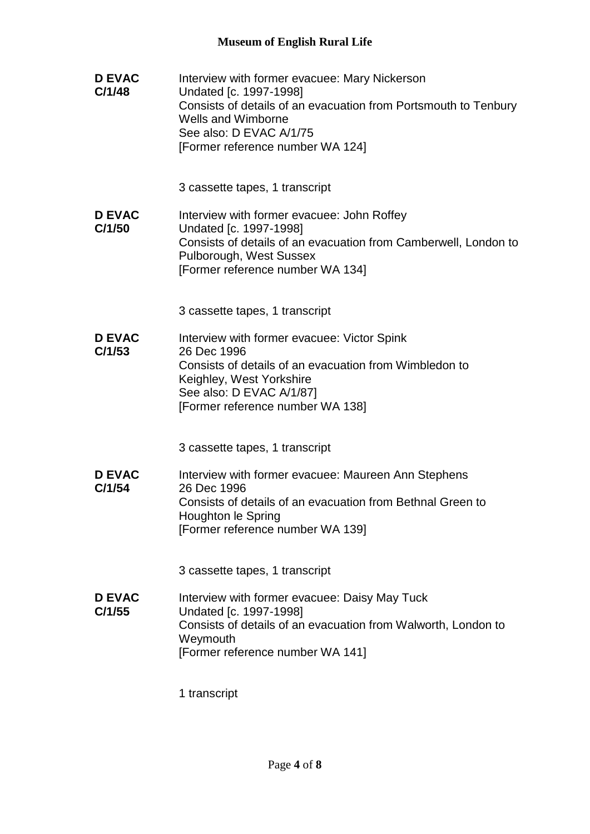| <b>D EVAC</b><br>C/1/48 | Interview with former evacuee: Mary Nickerson<br>Undated [c. 1997-1998]<br>Consists of details of an evacuation from Portsmouth to Tenbury<br><b>Wells and Wimborne</b><br>See also: D EVAC A/1/75<br>[Former reference number WA 124] |
|-------------------------|----------------------------------------------------------------------------------------------------------------------------------------------------------------------------------------------------------------------------------------|
|                         | 3 cassette tapes, 1 transcript                                                                                                                                                                                                         |
| <b>D EVAC</b><br>C/1/50 | Interview with former evacuee: John Roffey<br>Undated [c. 1997-1998]<br>Consists of details of an evacuation from Camberwell, London to<br>Pulborough, West Sussex<br>[Former reference number WA 134]                                 |
|                         | 3 cassette tapes, 1 transcript                                                                                                                                                                                                         |
| <b>D EVAC</b><br>C/1/53 | Interview with former evacuee: Victor Spink<br>26 Dec 1996<br>Consists of details of an evacuation from Wimbledon to<br>Keighley, West Yorkshire<br>See also: D EVAC A/1/87]<br>[Former reference number WA 138]                       |
|                         | 3 cassette tapes, 1 transcript                                                                                                                                                                                                         |
| <b>D EVAC</b><br>C/1/54 | Interview with former evacuee: Maureen Ann Stephens<br>26 Dec 1996<br>Consists of details of an evacuation from Bethnal Green to<br>Houghton le Spring<br>[Former reference number WA 139]                                             |
|                         | 3 cassette tapes, 1 transcript                                                                                                                                                                                                         |
| <b>D EVAC</b><br>C/1/55 | Interview with former evacuee: Daisy May Tuck<br>Undated [c. 1997-1998]<br>Consists of details of an evacuation from Walworth, London to<br>Weymouth<br>[Former reference number WA 141]                                               |

1 transcript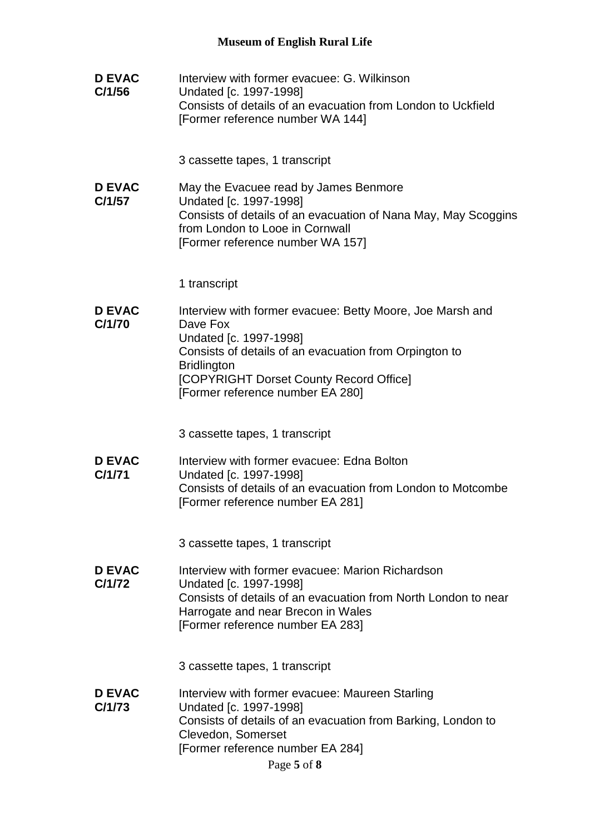| <b>D EVAC</b><br>C/1/56 | Interview with former evacuee: G. Wilkinson<br>Undated [c. 1997-1998]<br>Consists of details of an evacuation from London to Uckfield<br>[Former reference number WA 144]                                                                                      |
|-------------------------|----------------------------------------------------------------------------------------------------------------------------------------------------------------------------------------------------------------------------------------------------------------|
|                         | 3 cassette tapes, 1 transcript                                                                                                                                                                                                                                 |
| <b>D EVAC</b><br>C/1/57 | May the Evacuee read by James Benmore<br>Undated [c. 1997-1998]<br>Consists of details of an evacuation of Nana May, May Scoggins<br>from London to Looe in Cornwall<br>[Former reference number WA 157]                                                       |
|                         | 1 transcript                                                                                                                                                                                                                                                   |
| <b>D EVAC</b><br>C/1/70 | Interview with former evacuee: Betty Moore, Joe Marsh and<br>Dave Fox<br>Undated [c. 1997-1998]<br>Consists of details of an evacuation from Orpington to<br><b>Bridlington</b><br>[COPYRIGHT Dorset County Record Office]<br>[Former reference number EA 280] |
|                         | 3 cassette tapes, 1 transcript                                                                                                                                                                                                                                 |
| <b>D EVAC</b><br>C/1/71 | Interview with former evacuee: Edna Bolton<br>Undated [c. 1997-1998]<br>Consists of details of an evacuation from London to Motcombe<br>[Former reference number EA 281]                                                                                       |
|                         | 3 cassette tapes, 1 transcript                                                                                                                                                                                                                                 |
| <b>D EVAC</b><br>C/1/72 | Interview with former evacuee: Marion Richardson<br>Undated [c. 1997-1998]<br>Consists of details of an evacuation from North London to near<br>Harrogate and near Brecon in Wales<br>[Former reference number EA 283]                                         |
|                         | 3 cassette tapes, 1 transcript                                                                                                                                                                                                                                 |
| <b>D EVAC</b><br>C/1/73 | Interview with former evacuee: Maureen Starling<br>Undated [c. 1997-1998]<br>Consists of details of an evacuation from Barking, London to<br>Clevedon, Somerset<br>[Former reference number EA 284]<br>Page 5 of 8                                             |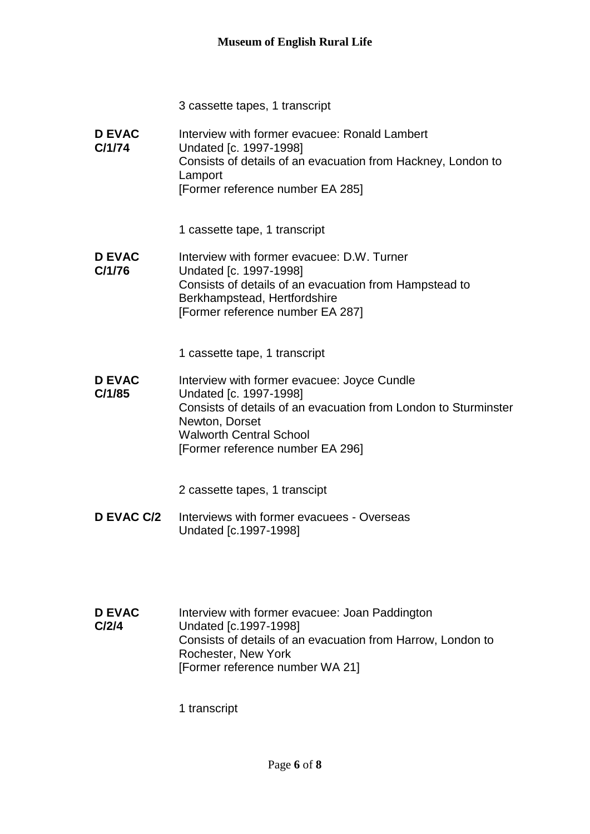3 cassette tapes, 1 transcript

**D EVAC C/1/74** Interview with former evacuee: Ronald Lambert Undated [c. 1997-1998] Consists of details of an evacuation from Hackney, London to Lamport [Former reference number EA 285]

1 cassette tape, 1 transcript

**D EVAC C/1/76** Interview with former evacuee: D.W. Turner Undated [c. 1997-1998] Consists of details of an evacuation from Hampstead to Berkhampstead, Hertfordshire [Former reference number EA 287]

1 cassette tape, 1 transcript

**D EVAC C/1/85** Interview with former evacuee: Joyce Cundle Undated [c. 1997-1998] Consists of details of an evacuation from London to Sturminster Newton, Dorset Walworth Central School [Former reference number EA 296]

2 cassette tapes, 1 transcipt

- **D EVAC C/2** Interviews with former evacuees Overseas Undated [c.1997-1998]
- **D EVAC C/2/4** Interview with former evacuee: Joan Paddington Undated [c.1997-1998] Consists of details of an evacuation from Harrow, London to Rochester, New York [Former reference number WA 21]

1 transcript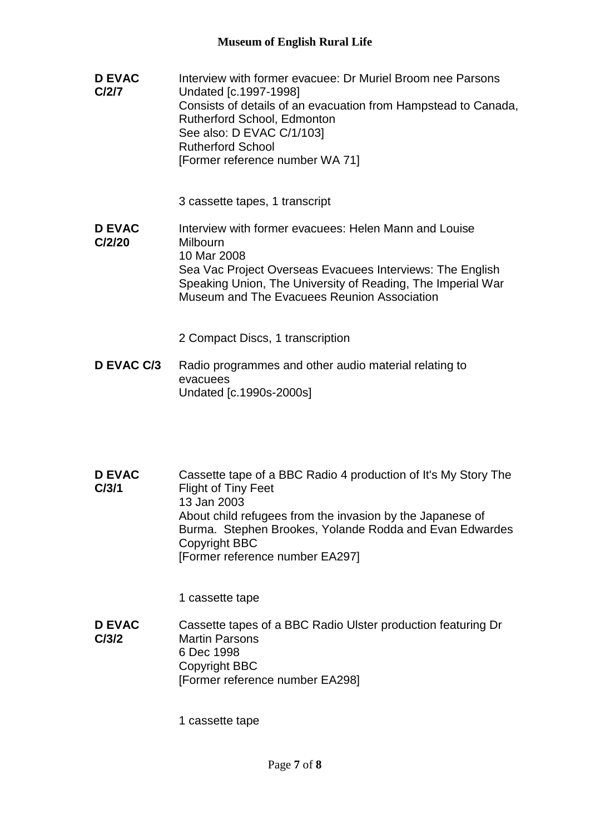- **D EVAC C/2/7** Interview with former evacuee: Dr Muriel Broom nee Parsons Undated [c.1997-1998] Consists of details of an evacuation from Hampstead to Canada, Rutherford School, Edmonton See also: D EVAC C/1/103] Rutherford School [Former reference number WA 71] 3 cassette tapes, 1 transcript **D EVAC**  Interview with former evacuees: Helen Mann and Louise
- **C/2/20** Milbourn 10 Mar 2008 Sea Vac Project Overseas Evacuees Interviews: The English Speaking Union, The University of Reading, The Imperial War Museum and The Evacuees Reunion Association

2 Compact Discs, 1 transcription

- **D EVAC C/3** Radio programmes and other audio material relating to evacuees Undated [c.1990s-2000s]
- **D EVAC C/3/1** Cassette tape of a BBC Radio 4 production of It's My Story The Flight of Tiny Feet 13 Jan 2003 About child refugees from the invasion by the Japanese of Burma. Stephen Brookes, Yolande Rodda and Evan Edwardes Copyright BBC [Former reference number EA297]

1 cassette tape

**D EVAC C/3/2** Cassette tapes of a BBC Radio Ulster production featuring Dr Martin Parsons 6 Dec 1998 Copyright BBC [Former reference number EA298]

1 cassette tape